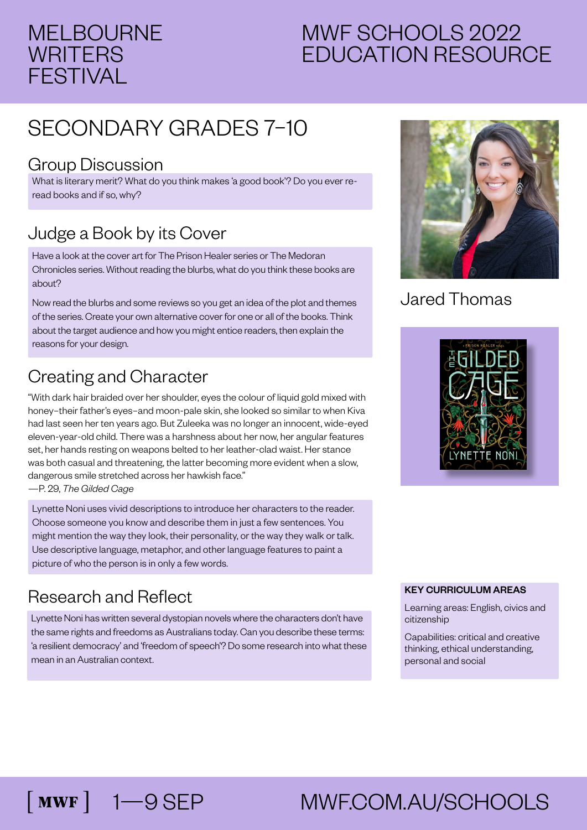#### MELBOURNE **WRITERS** FESTIVAL

### MWF SCHOOLS 2022 EDUCATION RESOURCE

## SECONDARY GRADES 7–10

#### Group Discussion

What is literary merit? What do you think makes 'a good book'? Do you ever reread books and if so, why?

#### Judge a Book by its Cover

Have a look at the cover art for The Prison Healer series or The Medoran Chronicles series. Without reading the blurbs, what do you think these books are about?

Now read the blurbs and some reviews so you get an idea of the plot and themes of the series. Create your own alternative cover for one or all of the books. Think about the target audience and how you might entice readers, then explain the reasons for your design.

#### Creating and Character

"With dark hair braided over her shoulder, eyes the colour of liquid gold mixed with honey–their father's eyes–and moon-pale skin, she looked so similar to when Kiva had last seen her ten years ago. But Zuleeka was no longer an innocent, wide-eyed eleven-year-old child. There was a harshness about her now, her angular features set, her hands resting on weapons belted to her leather-clad waist. Her stance was both casual and threatening, the latter becoming more evident when a slow, dangerous smile stretched across her hawkish face."

—P. 29, *The Gilded Cage*

Lynette Noni uses vivid descriptions to introduce her characters to the reader. Choose someone you know and describe them in just a few sentences. You might mention the way they look, their personality, or the way they walk or talk. Use descriptive language, metaphor, and other language features to paint a picture of who the person is in only a few words.

#### Research and Reflect

Lynette Noni has written several dystopian novels where the characters don't have the same rights and freedoms as Australians today. Can you describe these terms: 'a resilient democracy' and 'freedom of speech'? Do some research into what these mean in an Australian context.



#### Jared Thomas



#### KEY CURRICULUM AREAS

Learning areas: English, civics and citizenship

Capabilities: critical and creative thinking, ethical understanding, personal and social

# [MWF] 1—9 SEP MWF.COM.AU/SCHOOLS